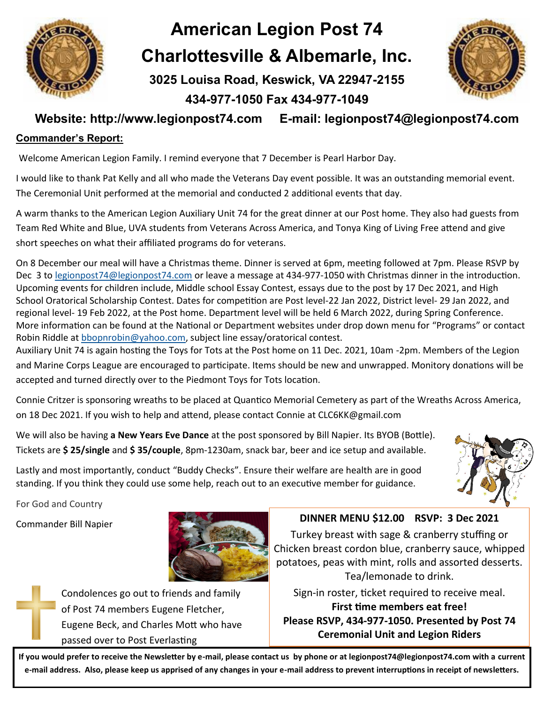

## **American Legion Post 74 Charlottesville & Albemarle, Inc.**

**3025 Louisa Road, Keswick, VA 22947-2155** 

## **434-977-1050 Fax 434-977-1049**



### **Website: http://www.legionpost74.com E-mail: legionpost74@legionpost74.com**

#### **Commander's Report:**

Welcome American Legion Family. I remind everyone that 7 December is Pearl Harbor Day.

I would like to thank Pat Kelly and all who made the Veterans Day event possible. It was an outstanding memorial event. The Ceremonial Unit performed at the memorial and conducted 2 additional events that day.

A warm thanks to the American Legion Auxiliary Unit 74 for the great dinner at our Post home. They also had guests from Team Red White and Blue, UVA students from Veterans Across America, and Tonya King of Living Free attend and give short speeches on what their affiliated programs do for veterans.

On 8 December our meal will have a Christmas theme. Dinner is served at 6pm, meeting followed at 7pm. Please RSVP by Dec 3 to [legionpost74@legionpost74.com](mailto:legionpost74@legionpost74.com) or leave a message at 434-977-1050 with Christmas dinner in the introduction. Upcoming events for children include, Middle school Essay Contest, essays due to the post by 17 Dec 2021, and High School Oratorical Scholarship Contest. Dates for competition are Post level-22 Jan 2022, District level- 29 Jan 2022, and regional level- 19 Feb 2022, at the Post home. Department level will be held 6 March 2022, during Spring Conference. More information can be found at the National or Department websites under drop down menu for "Programs" or contact Robin Riddle at [bbopnrobin@yahoo.com,](mailto:bbopnrobin@yahoo.com) subject line essay/oratorical contest.

Auxiliary Unit 74 is again hosting the Toys for Tots at the Post home on 11 Dec. 2021, 10am -2pm. Members of the Legion and Marine Corps League are encouraged to participate. Items should be new and unwrapped. Monitory donations will be accepted and turned directly over to the Piedmont Toys for Tots location.

Connie Critzer is sponsoring wreaths to be placed at Quantico Memorial Cemetery as part of the Wreaths Across America, on 18 Dec 2021. If you wish to help and attend, please contact Connie at CLC6KK@gmail.com

We will also be having **a New Years Eve Dance** at the post sponsored by Bill Napier. Its BYOB (Bottle). Tickets are **\$ 25/single** and **\$ 35/couple**, 8pm-1230am, snack bar, beer and ice setup and available.

Lastly and most importantly, conduct "Buddy Checks". Ensure their welfare are health are in good standing. If you think they could use some help, reach out to an executive member for guidance.



For God and Country



Condolences go out to friends and family of Post 74 members Eugene Fletcher, Eugene Beck, and Charles Mott who have passed over to Post Everlasting

## Commander Bill Napier **DINNER MENU \$12.00 RSVP: 3 Dec 2021**

Turkey breast with sage & cranberry stuffing or Chicken breast cordon blue, cranberry sauce, whipped potatoes, peas with mint, rolls and assorted desserts. Tea/lemonade to drink.

Sign-in roster, ticket required to receive meal. **First time members eat free! Please RSVP, 434-977-1050. Presented by Post 74 Ceremonial Unit and Legion Riders**

**If you would prefer to receive the Newsletter by e-mail, please contact us by phone or at legionpost74@legionpost74.com with a current e-mail address. Also, please keep us apprised of any changes in your e-mail address to prevent interruptions in receipt of newsletters.**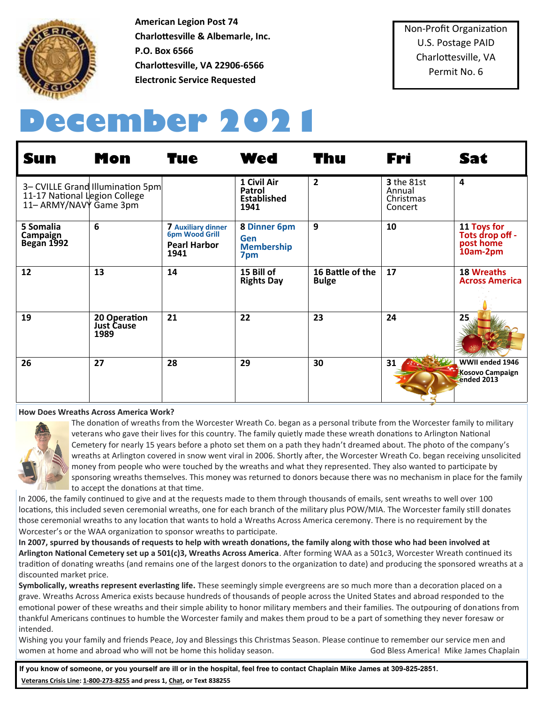

**American Legion Post 74 Charlottesville & Albemarle, Inc. P.O. Box 6566 Charlottesville, VA 22906-6566 Electronic Service Requested**

Non-Profit Organization U.S. Postage PAID Charlottesville, VA Permit No. 6

# **December 2021**

| <b>Sun</b>                                              | <b>Mon</b>                                | <b>Tue</b>                                                                        | <b>Wed</b>                                                    | <b>Thu</b>                       | Fri                                                 | <b>Sat</b>                                              |
|---------------------------------------------------------|-------------------------------------------|-----------------------------------------------------------------------------------|---------------------------------------------------------------|----------------------------------|-----------------------------------------------------|---------------------------------------------------------|
| 11-17 National Legion College<br>11- ARMY/NAVY Game 3pm | 3- CVILLE Grand Illumination 5pm          |                                                                                   | 1 Civil Air<br><b>Patrol</b><br><b>Established</b><br>1941    | $\overline{2}$                   | <b>3</b> the 81st<br>Annual<br>Christmas<br>Concert | 4                                                       |
| 5 Somalia<br>Campaign<br>Began 1992                     | 6                                         | <b>7 Auxiliary dinner</b><br><b>6pm Wood Grill</b><br><b>Pearl Harbor</b><br>1941 | <b>8 Dinner 6pm</b><br><b>Gen</b><br><b>Membership</b><br>7pm | 9                                | 10                                                  | 11 Toys for<br>Tots drop off -<br>post home<br>10am-2pm |
| 12                                                      | 13                                        | 14                                                                                | 15 Bill of<br><b>Rights Day</b>                               | 16 Battle of the<br><b>Bulge</b> | 17                                                  | <b>18 Wreaths</b><br><b>Across America</b>              |
| 19                                                      | 20 Operation<br><b>Just Cause</b><br>1989 | 21                                                                                | 22                                                            | 23                               | 24                                                  | 25                                                      |
| 26                                                      | 27                                        | 28                                                                                | 29                                                            | 30                               | 31                                                  | WWII ended 1946<br><b>Kosovo Campaign</b><br>ended 2013 |

#### **How Does Wreaths Across America Work?**



The donation of wreaths from the Worcester Wreath Co. began as a personal tribute from the Worcester family to military veterans who gave their lives for this country. The family quietly made these wreath donations to Arlington National Cemetery for nearly 15 years before a photo set them on a path they hadn't dreamed about. The photo of the company's wreaths at Arlington covered in snow went viral in 2006. Shortly after, the Worcester Wreath Co. began receiving unsolicited money from people who were touched by the wreaths and what they represented. They also wanted to participate by sponsoring wreaths themselves. This money was returned to donors because there was no mechanism in place for the family to accept the donations at that time.

In 2006, the family continued to give and at the requests made to them through thousands of emails, sent wreaths to well over 100 locations, this included seven ceremonial wreaths, one for each branch of the military plus POW/MIA. The Worcester family still donates those ceremonial wreaths to any location that wants to hold a Wreaths Across America ceremony. There is no requirement by the Worcester's or the WAA organization to sponsor wreaths to participate.

**In 2007, spurred by thousands of requests to help with wreath donations, the family along with those who had been involved at Arlington National Cemetery set up a 501(c)3, Wreaths Across America**. After forming WAA as a 501c3, Worcester Wreath continued its tradition of donating wreaths (and remains one of the largest donors to the organization to date) and producing the sponsored wreaths at a discounted market price.

**Symbolically, wreaths represent everlasting life.** These seemingly simple evergreens are so much more than a decoration placed on a grave. Wreaths Across America exists because hundreds of thousands of people across the United States and abroad responded to the emotional power of these wreaths and their simple ability to honor military members and their families. The outpouring of donations from thankful Americans continues to humble the Worcester family and makes them proud to be a part of something they never foresaw or intended.

Wishing you your family and friends Peace, Joy and Blessings this Christmas Season. Please continue to remember our service men and women at home and abroad who will not be home this holiday season. God Bless America! Mike James Chaplain

**If you know of someone, or you yourself are ill or in the hospital, feel free to contact Chaplain Mike James at 309-825-2851. [Veterans Crisis Line:](https://lnks.gd/l/eyJhbGciOiJIUzI1NiJ9.eyJidWxsZXRpbl9saW5rX2lkIjoxODgsInVyaSI6ImJwMjpjbGljayIsImJ1bGxldGluX2lkIjoiMjAyMTAzMjQuMzc2NTE5NjEiLCJ1cmwiOiJodHRwczovL3d3dy52ZXRlcmFuc2NyaXNpc2xpbmUubmV0Lz91dG1fc291cmNlPWZvb3RlciZ1dG1fbWVkaXVtPWVtYWlsJnV0bV9jYW1wYWln) 1-800-273-8255 and press 1, [Chat,](https://lnks.gd/l/eyJhbGciOiJIUzI1NiJ9.eyJidWxsZXRpbl9saW5rX2lkIjoxODksInVyaSI6ImJwMjpjbGljayIsImJ1bGxldGluX2lkIjoiMjAyMTAzMjQuMzc2NTE5NjEiLCJ1cmwiOiJodHRwczovL3d3dy52ZXRlcmFuc2NyaXNpc2xpbmUubmV0L2dldC1oZWxwL2NoYXQvP3V0bV9zb3VyY2U9Zm9vdGVyJnV0bV9tZWRpdW09ZW1h) or Text 838255**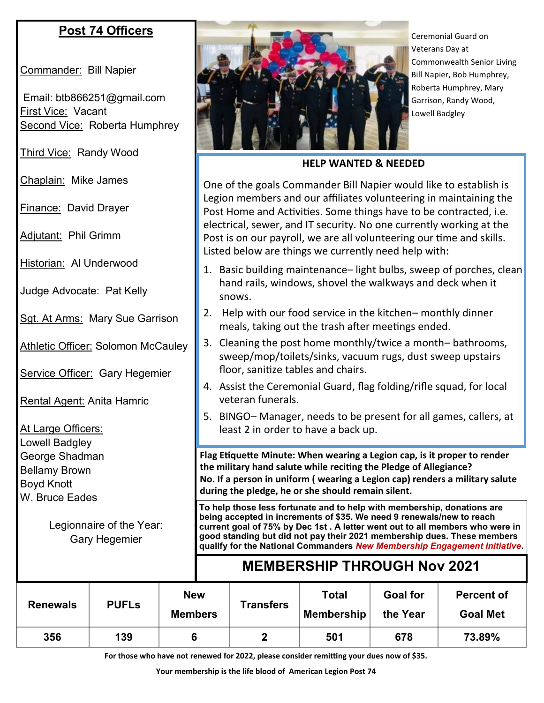## **Post 74 Officers**

Commander: Bill Napier

Email: btb866251@gmail.com **First Vice: Vacant** Second Vice: Roberta Humphrey

Third Vice: Randy Wood

Chaplain: Mike James

Finance: David Drayer

Adjutant: Phil Grimm

Historian: Al Underwood

Judge Advocate: Pat Kelly

Sgt. At Arms: Mary Sue Garrison

**Athletic Officer: Solomon McCauley** 

Service Officer: Gary Hegemier

Rental Agent: Anita Hamric

At Large Officers: Lowell Badgley George Shadman Bellamy Brown Boyd Knott W. Bruce Eades

> Legionnaire of the Year: Gary Hegemier



Ceremonial Guard on Veterans Day at Commonwealth Senior Living Bill Napier, Bob Humphrey, Roberta Humphrey, Mary Garrison, Randy Wood, Lowell Badgley

**HELP WANTED & NEEDED**

One of the goals Commander Bill Napier would like to establish is Legion members and our affiliates volunteering in maintaining the Post Home and Activities. Some things have to be contracted, i.e. electrical, sewer, and IT security. No one currently working at the Post is on our payroll, we are all volunteering our time and skills. Listed below are things we currently need help with:

- 1. Basic building maintenance– light bulbs, sweep of porches, clean hand rails, windows, shovel the walkways and deck when it snows.
- 2. Help with our food service in the kitchen– monthly dinner meals, taking out the trash after meetings ended.
- 3. Cleaning the post home monthly/twice a month– bathrooms, sweep/mop/toilets/sinks, vacuum rugs, dust sweep upstairs floor, sanitize tables and chairs.
- 4. Assist the Ceremonial Guard, flag folding/rifle squad, for local veteran funerals.
- 5. BINGO– Manager, needs to be present for all games, callers, at least 2 in order to have a back up.

**Flag Etiquette Minute: When wearing a Legion cap, is it proper to render the military hand salute while reciting the Pledge of Allegiance? No. If a person in uniform ( wearing a Legion cap) renders a military salute during the pledge, he or she should remain silent.**

**To help those less fortunate and to help with membership, donations are being accepted in increments of \$35. We need 9 renewals/new to reach current goal of 75% by Dec 1st . A letter went out to all members who were in good standing but did not pay their 2021 membership dues. These members qualify for the National Commanders** *New Membership Engagement Initiative***.** 

## **MEMBERSHIP THROUGH Nov 2021**

| <b>Renewals</b> | <b>PUFLs</b> | <b>New</b><br><b>Members</b> | <b>Transfers</b> | <b>Total</b><br><b>Membership</b> | <b>Goal for</b><br>the Year | <b>Percent of</b><br><b>Goal Met</b> |
|-----------------|--------------|------------------------------|------------------|-----------------------------------|-----------------------------|--------------------------------------|
| 356             | 139          |                              | ◠                | 501                               | 678                         | 73.89%                               |

**For those who have not renewed for 2022, please consider remitting your dues now of \$35.**